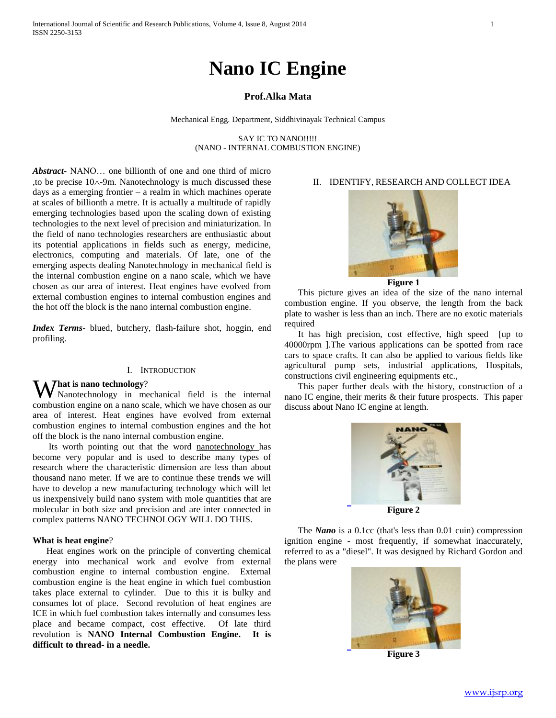# **Nano IC Engine**

### **Prof.Alka Mata**

Mechanical Engg. Department, Siddhivinayak Technical Campus

SAY IC TO NANO!!!!! (NANO - INTERNAL COMBUSTION ENGINE)

*Abstract***-** NANO… one billionth of one and one third of micro , to be precise  $10 \wedge 9m$ . Nanotechnology is much discussed these days as a emerging frontier – a realm in which machines operate at scales of billionth a metre. It is actually a multitude of rapidly emerging technologies based upon the scaling down of existing technologies to the next level of precision and miniaturization. In the field of nano technologies researchers are enthusiastic about its potential applications in fields such as energy, medicine, electronics, computing and materials. Of late, one of the emerging aspects dealing Nanotechnology in mechanical field is the internal combustion engine on a nano scale, which we have chosen as our area of interest. Heat engines have evolved from external combustion engines to internal combustion engines and the hot off the block is the nano internal combustion engine.

*Index Terms*- blued, butchery, flash-failure shot, hoggin, end profiling.

#### I. INTRODUCTION

**W** Nanotechnology?<br>
Manotechnology in me Nanotechnology in mechanical field is the internal combustion engine on a nano scale, which we have chosen as our area of interest. Heat engines have evolved from external combustion engines to internal combustion engines and the hot off the block is the nano internal combustion engine.

Its worth pointing out that the word nanotechnology has become very popular and is used to describe many types of research where the characteristic dimension are less than about thousand nano meter. If we are to continue these trends we will have to develop a new manufacturing technology which will let us inexpensively build nano system with mole quantities that are molecular in both size and precision and are inter connected in complex patterns NANO TECHNOLOGY WILL DO THIS.

#### **What is heat engine**?

Heat engines work on the principle of converting chemical energy into mechanical work and evolve from external combustion engine to internal combustion engine. External combustion engine is the heat engine in which fuel combustion takes place external to cylinder. Due to this it is bulky and consumes lot of place. Second revolution of heat engines are ICE in which fuel combustion takes internally and consumes less place and became compact, cost effective. Of late third revolution is **NANO Internal Combustion Engine. It is difficult to thread- in a needle.** 

## II. IDENTIFY, RESEARCH AND COLLECT IDEA



**Figure 1**

This picture gives an idea of the size of the nano internal combustion engine. If you observe, the length from the back plate to washer is less than an inch. There are no exotic materials required

It has high precision, cost effective, high speed [up to 40000rpm ].The various applications can be spotted from race cars to space crafts. It can also be applied to various fields like agricultural pump sets, industrial applications, Hospitals, constructions civil engineering equipments etc.,

This paper further deals with the history, construction of a nano IC engine, their merits & their future prospects. This paper discuss about Nano IC engine at length.



The *Nano* is a 0.1cc (that's less than 0.01 cuin) compression ignition engine - most frequently, if somewhat inaccurately, referred to as a "diesel". It was designed by Richard Gordon and



the plans were

**Figure 3**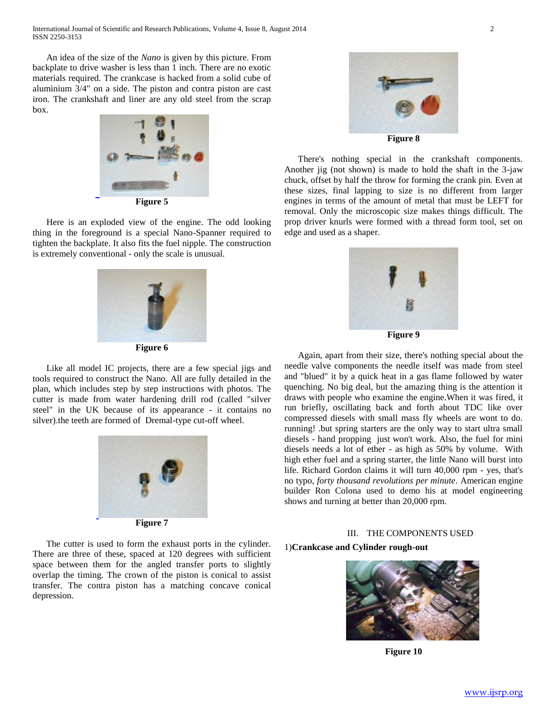An idea of the size of the *Nano* is given by this picture. From backplate to drive washer is less than 1 inch. There are no exotic materials required. The crankcase is hacked from a solid cube of aluminium 3/4" on a side. The piston and contra piston are cast iron. The crankshaft and liner are any old steel from the scrap box.



**Figure 5**

Here is an exploded view of the engine. The odd looking thing in the foreground is a special Nano-Spanner required to tighten the backplate. It also fits the fuel nipple. The construction is extremely conventional - only the scale is unusual.



**Figure 6**

Like all model IC projects, there are a few special jigs and tools required to construct the Nano. All are fully detailed in the plan, which includes step by step instructions with photos. The cutter is made from water hardening drill rod (called "silver steel" in the UK because of its appearance - it contains no silver).the teeth are formed of Dremal-type cut-off wheel.



The cutter is used to form the exhaust ports in the cylinder. There are three of these, spaced at 120 degrees with sufficient space between them for the angled transfer ports to slightly overlap the timing. The crown of the piston is conical to assist transfer. The contra piston has a matching concave conical depression.



**Figure 8**

There's nothing special in the crankshaft components. Another jig (not shown) is made to hold the shaft in the 3-jaw chuck, offset by half the throw for forming the crank pin. Even at these sizes, final lapping to size is no different from larger engines in terms of the amount of metal that must be LEFT for removal. Only the microscopic size makes things difficult. The prop driver knurls were formed with a thread form tool, set on edge and used as a shaper.



Again, apart from their size, there's nothing special about the needle valve components the needle itself was made from steel and "blued" it by a quick heat in a gas flame followed by water quenching. No big deal, but the amazing thing is the attention it draws with people who examine the engine.When it was fired, it run briefly, oscillating back and forth about TDC like over compressed diesels with small mass fly wheels are wont to do. running! .but spring starters are the only way to start ultra small diesels - hand propping just won't work. Also, the fuel for mini diesels needs a lot of ether - as high as 50% by volume. With high ether fuel and a spring starter, the little Nano will burst into life. Richard Gordon claims it will turn 40,000 rpm - yes, that's no typo, *forty thousand revolutions per minute*. American engine builder Ron Colona used to demo his at model engineering shows and turning at better than 20,000 rpm.

# III. THE COMPONENTS USED 1)**Crankcase and Cylinder rough-out**



**Figure 10**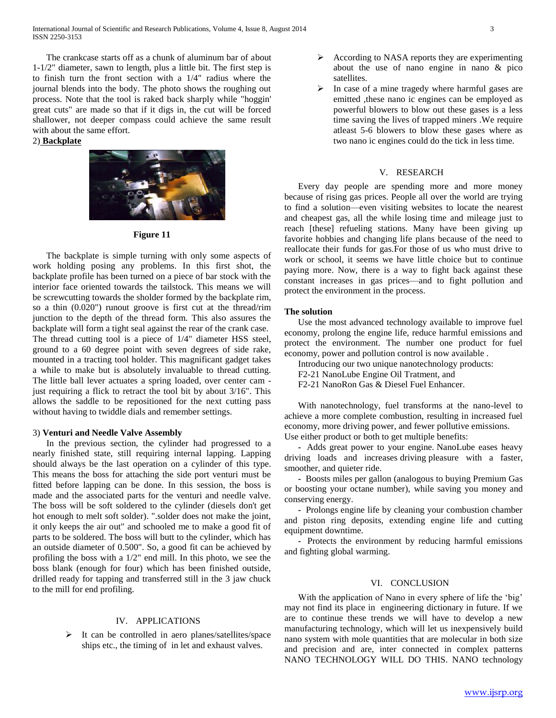The crankcase starts off as a chunk of aluminum bar of about 1-1/2" diameter, sawn to length, plus a little bit. The first step is to finish turn the front section with a 1/4" radius where the journal blends into the body. The photo shows the roughing out process. Note that the tool is raked back sharply while "hoggin' great cuts" are made so that if it digs in, the cut will be forced shallower, not deeper compass could achieve the same result with about the same effort.

#### 2) **Backplate**



#### **Figure 11**

The backplate is simple turning with only some aspects of work holding posing any problems. In this first shot, the backplate profile has been turned on a piece of bar stock with the interior face oriented towards the tailstock. This means we will be screwcutting towards the sholder formed by the backplate rim, so a thin (0.020") runout groove is first cut at the thread/rim junction to the depth of the thread form. This also assures the backplate will form a tight seal against the rear of the crank case. The thread cutting tool is a piece of 1/4" diameter HSS steel, ground to a 60 degree point with seven degrees of side rake, mounted in a tracting tool holder. This magnificant gadget takes a while to make but is absolutely invaluable to thread cutting. The little ball lever actuates a spring loaded, over center cam just requiring a flick to retract the tool bit by about 3/16". This allows the saddle to be repositioned for the next cutting pass without having to twiddle dials and remember settings.

#### 3) **Venturi and Needle Valve Assembly**

In the previous section, the cylinder had progressed to a nearly finished state, still requiring internal lapping. Lapping should always be the last operation on a cylinder of this type. This means the boss for attaching the side port venturi must be fitted before lapping can be done. In this session, the boss is made and the associated parts for the venturi and needle valve. The boss will be soft soldered to the cylinder (diesels don't get hot enough to melt soft solder). ".solder does not make the joint, it only keeps the air out" and schooled me to make a good fit of parts to be soldered. The boss will butt to the cylinder, which has an outside diameter of 0.500". So, a good fit can be achieved by profiling the boss with a 1/2" end mill. In this photo, we see the boss blank (enough for four) which has been finished outside, drilled ready for tapping and transferred still in the 3 jaw chuck to the mill for end profiling.

#### IV. APPLICATIONS

 $\triangleright$  It can be controlled in aero planes/satellites/space ships etc., the timing of in let and exhaust valves.

- $\triangleright$  According to NASA reports they are experimenting about the use of nano engine in nano & pico satellites.
- In case of a mine tragedy where harmful gases are emitted ,these nano ic engines can be employed as powerful blowers to blow out these gases is a less time saving the lives of trapped miners .We require atleast 5-6 blowers to blow these gases where as two nano ic engines could do the tick in less time.

#### V. RESEARCH

Every day people are spending more and more money because of rising gas prices. People all over the world are trying to find a solution—even visiting websites to locate the nearest and cheapest gas, all the while losing time and mileage just to reach [these] refueling stations. Many have been giving up favorite hobbies and changing life plans because of the need to reallocate their funds for gas.For those of us who must drive to work or school, it seems we have little choice but to continue paying more. Now, there is a way to fight back against these constant increases in gas prices—and to fight pollution and protect the environment in the process.

#### **The solution**

Use the most advanced technology available to improve fuel economy, prolong the engine life, reduce harmful emissions and protect the environment. The number one product for fuel economy, power and pollution control is now available .

- Introducing our two unique nanotechnology products:
- F2-21 NanoLube Engine Oil Tratment, and
- F2-21 NanoRon Gas & Diesel Fuel Enhancer.

With nanotechnology, fuel transforms at the nano-level to achieve a more complete combustion, resulting in increased fuel economy, more driving power, and fewer pollutive emissions. Use either product or both to get multiple benefits:

 **-** Adds great power to your engine. NanoLube eases heavy driving loads and increases driving pleasure with a faster, smoother, and quieter ride.

 **-** Boosts miles per gallon (analogous to buying Premium Gas or boosting your octane number), while saving you money and conserving energy.

 **-** Prolongs engine life by cleaning your combustion chamber and piston ring deposits, extending engine life and cutting equipment downtime.

 **-** Protects the environment by reducing harmful emissions and fighting global warming.

#### VI. CONCLUSION

With the application of Nano in every sphere of life the 'big' may not find its place in engineering dictionary in future. If we are to continue these trends we will have to develop a new manufacturing technology, which will let us inexpensively build nano system with mole quantities that are molecular in both size and precision and are, inter connected in complex patterns NANO TECHNOLOGY WILL DO THIS. NANO technology